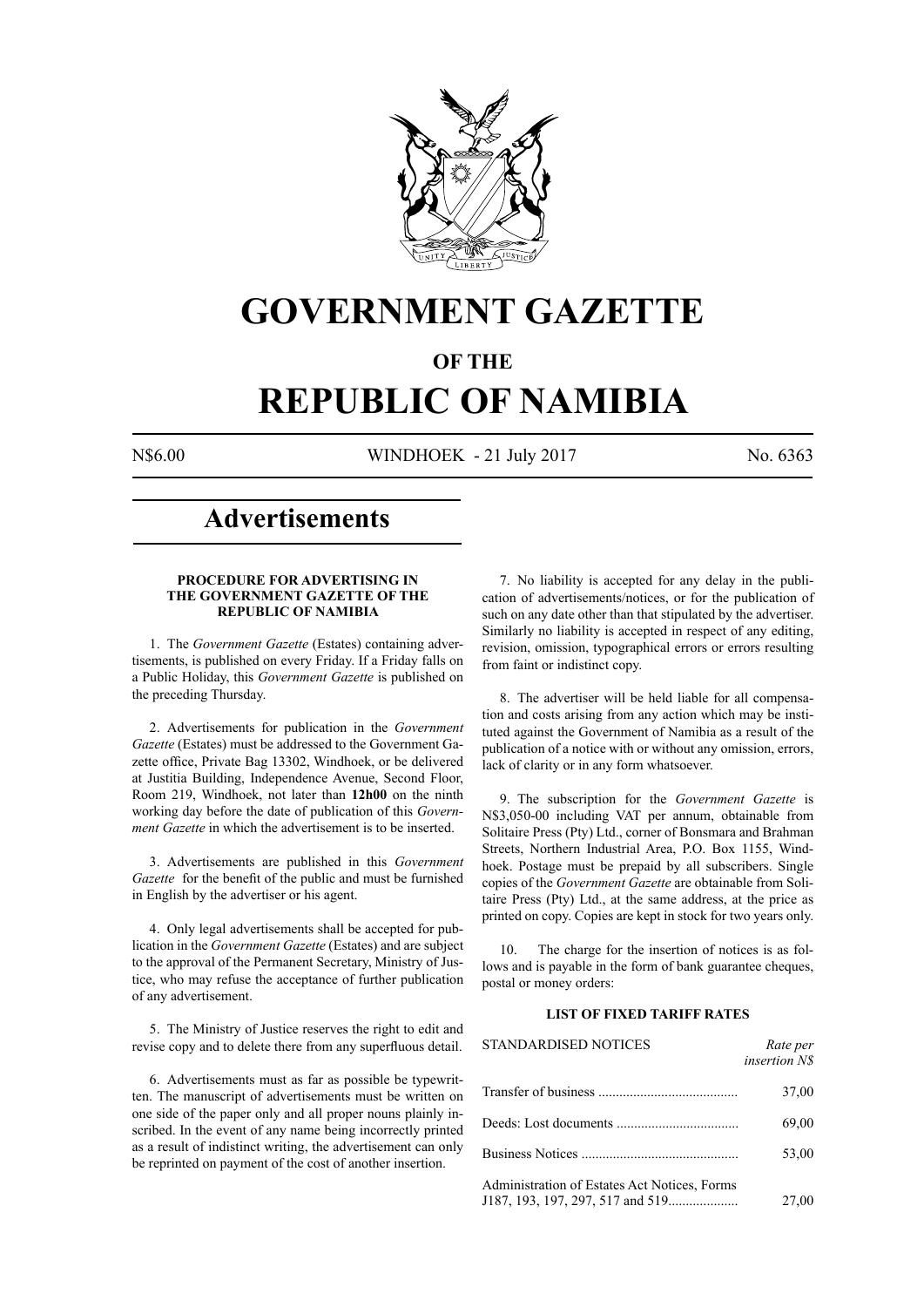

## **GOVERNMENT GAZETTE**

### **OF THE**

# **REPUBLIC OF NAMIBIA**

N\$6.00 WINDHOEK - 21 July 2017 No. 6363

### **Advertisements**

#### **PROCEDURE FOR ADVERTISING IN THE GOVERNMENT GAZETTE OF THE REPUBLIC OF NAMIBIA**

1. The *Government Gazette* (Estates) containing advertisements, is published on every Friday. If a Friday falls on a Public Holiday, this *Government Gazette* is published on the preceding Thursday.

2. Advertisements for publication in the *Government Gazette* (Estates) must be addressed to the Government Gazette office, Private Bag 13302, Windhoek, or be delivered at Justitia Building, Independence Avenue, Second Floor, Room 219, Windhoek, not later than **12h00** on the ninth working day before the date of publication of this *Government Gazette* in which the advertisement is to be inserted.

3. Advertisements are published in this *Government Gazette* for the benefit of the public and must be furnished in English by the advertiser or his agent.

4. Only legal advertisements shall be accepted for publication in the *Government Gazette* (Estates) and are subject to the approval of the Permanent Secretary, Ministry of Justice, who may refuse the acceptance of further publication of any advertisement.

5. The Ministry of Justice reserves the right to edit and revise copy and to delete there from any superfluous detail.

6. Advertisements must as far as possible be typewritten. The manuscript of advertisements must be written on one side of the paper only and all proper nouns plainly inscribed. In the event of any name being incorrectly printed as a result of indistinct writing, the advertisement can only be reprinted on payment of the cost of another insertion.

7. No liability is accepted for any delay in the publication of advertisements/notices, or for the publication of such on any date other than that stipulated by the advertiser. Similarly no liability is accepted in respect of any editing, revision, omission, typographical errors or errors resulting from faint or indistinct copy.

8. The advertiser will be held liable for all compensation and costs arising from any action which may be instituted against the Government of Namibia as a result of the publication of a notice with or without any omission, errors, lack of clarity or in any form whatsoever.

9. The subscription for the *Government Gazette* is N\$3,050-00 including VAT per annum, obtainable from Solitaire Press (Pty) Ltd., corner of Bonsmara and Brahman Streets, Northern Industrial Area, P.O. Box 1155, Windhoek. Postage must be prepaid by all subscribers. Single copies of the *Government Gazette* are obtainable from Solitaire Press (Pty) Ltd., at the same address, at the price as printed on copy. Copies are kept in stock for two years only.

10. The charge for the insertion of notices is as follows and is payable in the form of bank guarantee cheques, postal or money orders:

#### **LIST OF FIXED TARIFF RATES**

| <b>STANDARDISED NOTICES</b>                  | Rate per<br><i>insertion NS</i> |
|----------------------------------------------|---------------------------------|
|                                              | 37,00                           |
|                                              | 69,00                           |
|                                              | 53,00                           |
| Administration of Estates Act Notices, Forms | 27,00                           |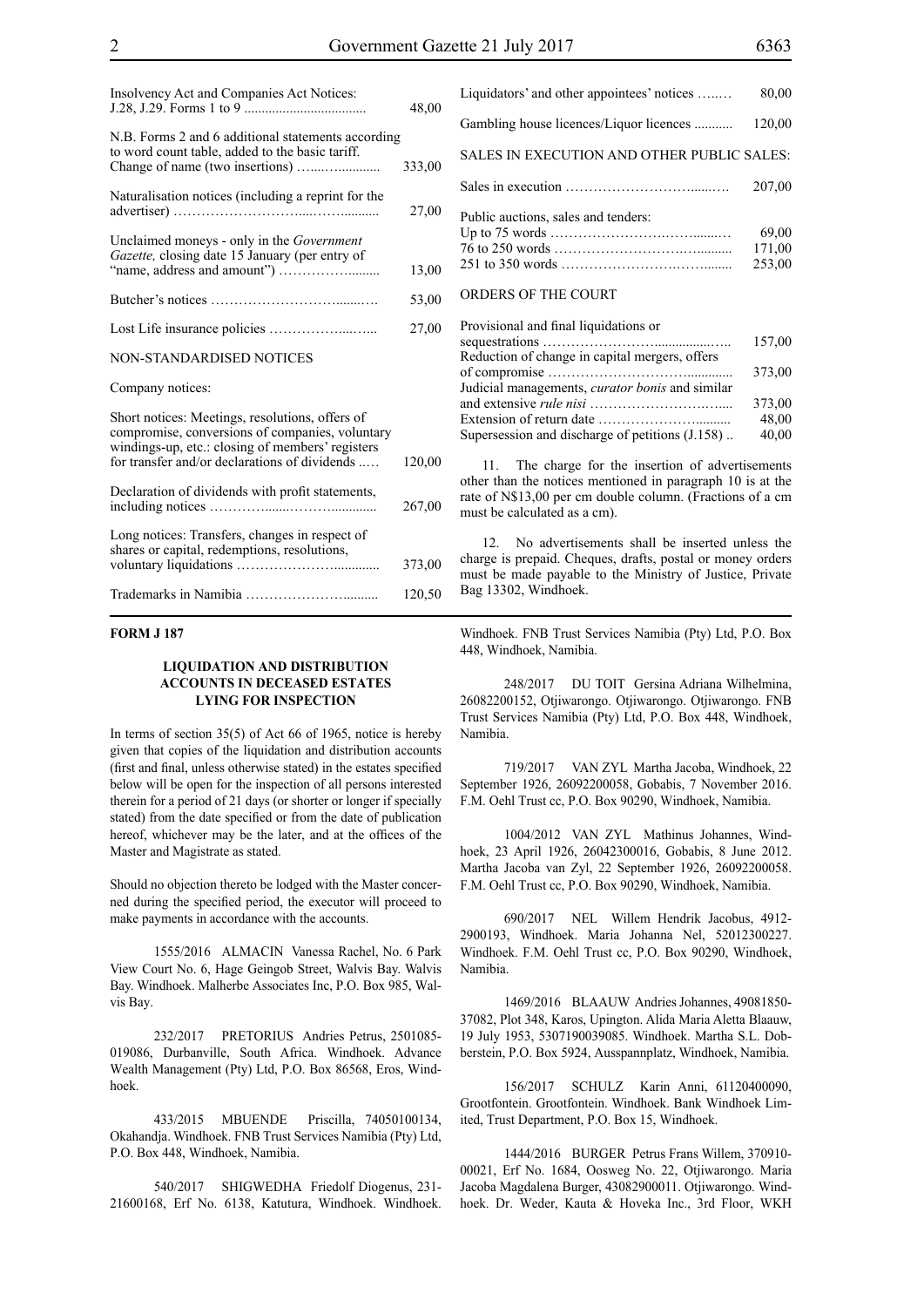| Insolvency Act and Companies Act Notices:                                                                                                                                                               | 48,00  |
|---------------------------------------------------------------------------------------------------------------------------------------------------------------------------------------------------------|--------|
| N.B. Forms 2 and 6 additional statements according<br>to word count table, added to the basic tariff.                                                                                                   | 333,00 |
| Naturalisation notices (including a reprint for the                                                                                                                                                     | 27,00  |
| Unclaimed moneys - only in the <i>Government</i><br>Gazette, closing date 15 January (per entry of                                                                                                      | 13,00  |
|                                                                                                                                                                                                         | 53,00  |
|                                                                                                                                                                                                         | 27,00  |
| NON-STANDARDISED NOTICES                                                                                                                                                                                |        |
| Company notices:                                                                                                                                                                                        |        |
| Short notices: Meetings, resolutions, offers of<br>compromise, conversions of companies, voluntary<br>windings-up, etc.: closing of members' registers<br>for transfer and/or declarations of dividends | 120,00 |
| Declaration of dividends with profit statements,                                                                                                                                                        | 267,00 |
| Long notices: Transfers, changes in respect of<br>shares or capital, redemptions, resolutions,                                                                                                          | 373,00 |
|                                                                                                                                                                                                         | 120,50 |

#### **FORM J 187**

#### **LIQUIDATION AND DISTRIBUTION ACCOUNTS IN DECEASED ESTATES LYING FOR INSPECTION**

In terms of section 35(5) of Act 66 of 1965, notice is hereby given that copies of the liquidation and distribution accounts (first and final, unless otherwise stated) in the estates specified below will be open for the inspection of all persons interested therein for a period of 21 days (or shorter or longer if specially stated) from the date specified or from the date of publication hereof, whichever may be the later, and at the offices of the Master and Magistrate as stated.

Should no objection thereto be lodged with the Master concerned during the specified period, the executor will proceed to make payments in accordance with the accounts.

1555/2016 ALMACIN Vanessa Rachel, No. 6 Park View Court No. 6, Hage Geingob Street, Walvis Bay. Walvis Bay. Windhoek. Malherbe Associates Inc, P.O. Box 985, Walvis Bay.

232/2017 PRETORIUS Andries Petrus, 2501085- 019086, Durbanville, South Africa. Windhoek. Advance Wealth Management (Pty) Ltd, P.O. Box 86568, Eros, Windhoek.

433/2015 MBUENDE Priscilla, 74050100134, Okahandja. Windhoek. FNB Trust Services Namibia (Pty) Ltd, P.O. Box 448, Windhoek, Namibia.

540/2017 SHIGWEDHA Friedolf Diogenus, 231- 21600168, Erf No. 6138, Katutura, Windhoek. Windhoek. Liquidators' and other appointees' notices …..… 80,00 Gambling house licences/Liquor licences ........... 120,00 SALES IN EXECUTION AND OTHER PUBLIC SALES: Sales in execution ………………………......…. 207,00 Public auctions, sales and tenders: Up to 75 words …………………….…….......… 69,00 76 to 250 words ……………………….….......... 171,00 251 to 350 words …………………….……........ 253,00 ORDERS OF THE COURT

#### Provisional and final liquidations or sequestrations ……………………................….. 157,00 Reduction of change in capital mergers, offers of compromise …………………………............. 373,00 Judicial managements, *curator bonis* and similar and extensive *rule nisi* …………………….….... 373,00 Extension of return date ………………….......... 48,00 Supersession and discharge of petitions  $(J.158)$ ..  $40,00$

The charge for the insertion of advertisements other than the notices mentioned in paragraph 10 is at the rate of N\$13,00 per cm double column. (Fractions of a cm must be calculated as a cm).

12. No advertisements shall be inserted unless the charge is prepaid. Cheques, drafts, postal or money orders must be made payable to the Ministry of Justice, Private Bag 13302, Windhoek.

Windhoek. FNB Trust Services Namibia (Pty) Ltd, P.O. Box 448, Windhoek, Namibia.

248/2017 DU TOIT Gersina Adriana Wilhelmina, 26082200152, Otjiwarongo. Otjiwarongo. Otjiwarongo. FNB Trust Services Namibia (Pty) Ltd, P.O. Box 448, Windhoek, Namibia.

719/2017 VAN ZYL Martha Jacoba, Windhoek, 22 September 1926, 26092200058, Gobabis, 7 November 2016. F.M. Oehl Trust cc, P.O. Box 90290, Windhoek, Namibia.

1004/2012 VAN ZYL Mathinus Johannes, Windhoek, 23 April 1926, 26042300016, Gobabis, 8 June 2012. Martha Jacoba van Zyl, 22 September 1926, 26092200058. F.M. Oehl Trust cc, P.O. Box 90290, Windhoek, Namibia.

690/2017 NEL Willem Hendrik Jacobus, 4912- 2900193, Windhoek. Maria Johanna Nel, 52012300227. Windhoek. F.M. Oehl Trust cc, P.O. Box 90290, Windhoek, Namibia.

1469/2016 BLAAUW Andries Johannes, 49081850- 37082, Plot 348, Karos, Upington. Alida Maria Aletta Blaauw, 19 July 1953, 5307190039085. Windhoek. Martha S.L. Dobberstein, P.O. Box 5924, Ausspannplatz, Windhoek, Namibia.

156/2017 SCHULZ Karin Anni, 61120400090, Grootfontein. Grootfontein. Windhoek. Bank Windhoek Limited, Trust Department, P.O. Box 15, Windhoek.

1444/2016 BURGER Petrus Frans Willem, 370910- 00021, Erf No. 1684, Oosweg No. 22, Otjiwarongo. Maria Jacoba Magdalena Burger, 43082900011. Otjiwarongo. Windhoek. Dr. Weder, Kauta & Hoveka Inc., 3rd Floor, WKH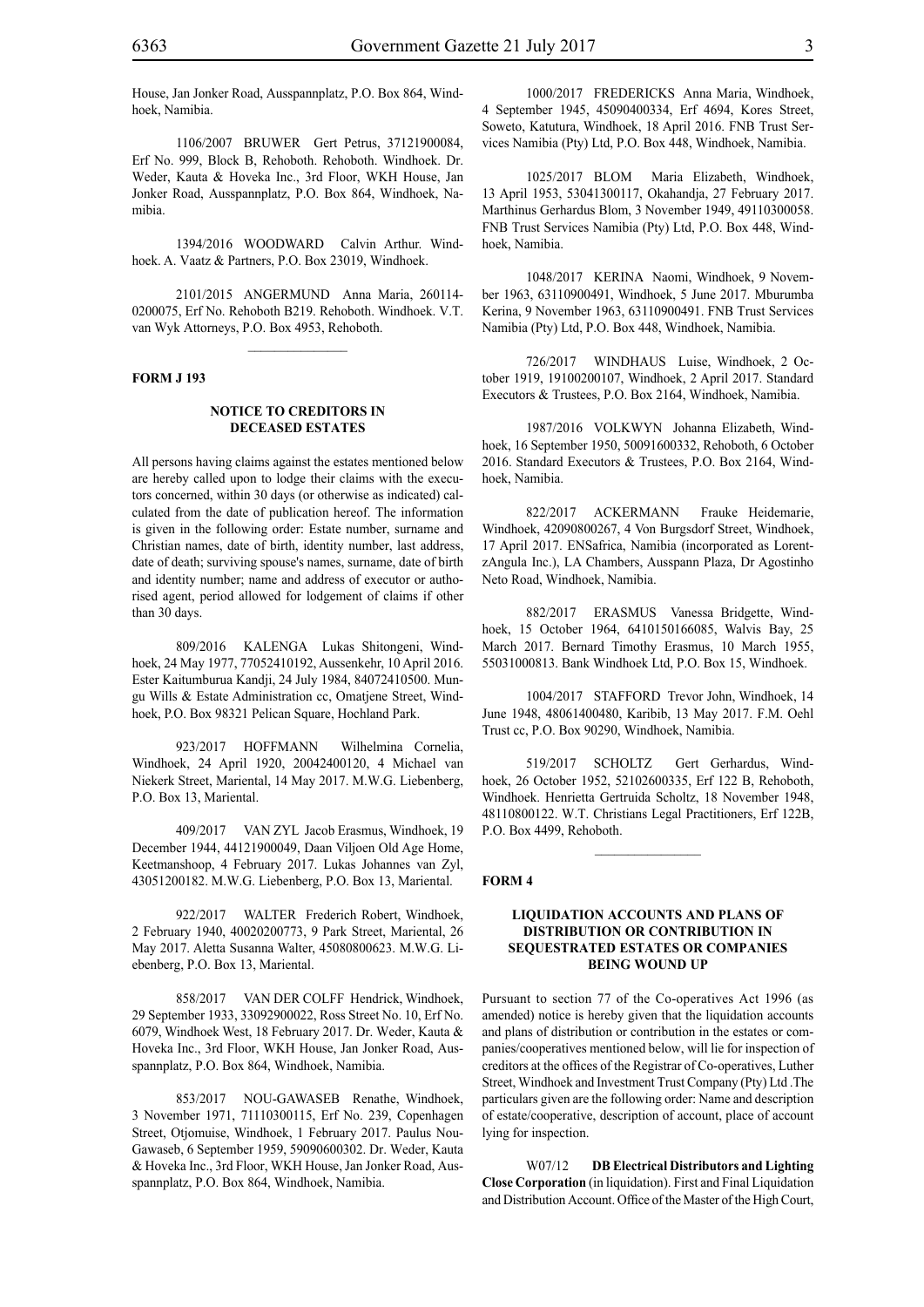House, Jan Jonker Road, Ausspannplatz, P.O. Box 864, Windhoek, Namibia.

1106/2007 BRUWER Gert Petrus, 37121900084, Erf No. 999, Block B, Rehoboth. Rehoboth. Windhoek. Dr. Weder, Kauta & Hoveka Inc., 3rd Floor, WKH House, Jan Jonker Road, Ausspannplatz, P.O. Box 864, Windhoek, Namibia.

1394/2016 WOODWARD Calvin Arthur. Windhoek. A. Vaatz & Partners, P.O. Box 23019, Windhoek.

2101/2015 ANGERMUND Anna Maria, 260114- 0200075, Erf No. Rehoboth B219. Rehoboth. Windhoek. V.T. van Wyk Attorneys, P.O. Box 4953, Rehoboth.

 $\frac{1}{2}$ 

#### **FORM J 193**

#### **NOTICE TO CREDITORS IN DECEASED ESTATES**

All persons having claims against the estates mentioned below are hereby called upon to lodge their claims with the executors concerned, within 30 days (or otherwise as indicated) calculated from the date of publication hereof. The information is given in the following order: Estate number, surname and Christian names, date of birth, identity number, last address, date of death; surviving spouse's names, surname, date of birth and identity number; name and address of executor or authorised agent, period allowed for lodgement of claims if other than 30 days.

809/2016 KALENGA Lukas Shitongeni, Windhoek, 24 May 1977, 77052410192, Aussenkehr, 10 April 2016. Ester Kaitumburua Kandji, 24 July 1984, 84072410500. Mungu Wills & Estate Administration cc, Omatjene Street, Windhoek, P.O. Box 98321 Pelican Square, Hochland Park.

923/2017 HOFFMANN Wilhelmina Cornelia, Windhoek, 24 April 1920, 20042400120, 4 Michael van Niekerk Street, Mariental, 14 May 2017. M.W.G. Liebenberg, P.O. Box 13, Mariental.

409/2017 VAN ZYL Jacob Erasmus, Windhoek, 19 December 1944, 44121900049, Daan Viljoen Old Age Home, Keetmanshoop, 4 February 2017. Lukas Johannes van Zyl, 43051200182. M.W.G. Liebenberg, P.O. Box 13, Mariental.

922/2017 WALTER Frederich Robert, Windhoek, 2 February 1940, 40020200773, 9 Park Street, Mariental, 26 May 2017. Aletta Susanna Walter, 45080800623. M.W.G. Liebenberg, P.O. Box 13, Mariental.

858/2017 VAN DER COLFF Hendrick, Windhoek, 29 September 1933, 33092900022, Ross Street No. 10, Erf No. 6079, Windhoek West, 18 February 2017. Dr. Weder, Kauta & Hoveka Inc., 3rd Floor, WKH House, Jan Jonker Road, Ausspannplatz, P.O. Box 864, Windhoek, Namibia.

853/2017 NOU-GAWASEB Renathe, Windhoek, 3 November 1971, 71110300115, Erf No. 239, Copenhagen Street, Otjomuise, Windhoek, 1 February 2017. Paulus Nou-Gawaseb, 6 September 1959, 59090600302. Dr. Weder, Kauta & Hoveka Inc., 3rd Floor, WKH House, Jan Jonker Road, Ausspannplatz, P.O. Box 864, Windhoek, Namibia.

1000/2017 FREDERICKS Anna Maria, Windhoek, 4 September 1945, 45090400334, Erf 4694, Kores Street, Soweto, Katutura, Windhoek, 18 April 2016. FNB Trust Services Namibia (Pty) Ltd, P.O. Box 448, Windhoek, Namibia.

1025/2017 BLOM Maria Elizabeth, Windhoek, 13 April 1953, 53041300117, Okahandja, 27 February 2017. Marthinus Gerhardus Blom, 3 November 1949, 49110300058. FNB Trust Services Namibia (Pty) Ltd, P.O. Box 448, Windhoek, Namibia.

1048/2017 KERINA Naomi, Windhoek, 9 November 1963, 63110900491, Windhoek, 5 June 2017. Mburumba Kerina, 9 November 1963, 63110900491. FNB Trust Services Namibia (Pty) Ltd, P.O. Box 448, Windhoek, Namibia.

726/2017 WINDHAUS Luise, Windhoek, 2 October 1919, 19100200107, Windhoek, 2 April 2017. Standard Executors & Trustees, P.O. Box 2164, Windhoek, Namibia.

1987/2016 VOLKWYN Johanna Elizabeth, Windhoek, 16 September 1950, 50091600332, Rehoboth, 6 October 2016. Standard Executors & Trustees, P.O. Box 2164, Windhoek, Namibia.

822/2017 ACKERMANN Frauke Heidemarie, Windhoek, 42090800267, 4 Von Burgsdorf Street, Windhoek, 17 April 2017. ENSafrica, Namibia (incorporated as LorentzAngula Inc.), LA Chambers, Ausspann Plaza, Dr Agostinho Neto Road, Windhoek, Namibia.

882/2017 ERASMUS Vanessa Bridgette, Windhoek, 15 October 1964, 6410150166085, Walvis Bay, 25 March 2017. Bernard Timothy Erasmus, 10 March 1955, 55031000813. Bank Windhoek Ltd, P.O. Box 15, Windhoek.

1004/2017 STAFFORD Trevor John, Windhoek, 14 June 1948, 48061400480, Karibib, 13 May 2017. F.M. Oehl Trust cc, P.O. Box 90290, Windhoek, Namibia.

519/2017 SCHOLTZ Gert Gerhardus, Windhoek, 26 October 1952, 52102600335, Erf 122 B, Rehoboth, Windhoek. Henrietta Gertruida Scholtz, 18 November 1948, 48110800122. W.T. Christians Legal Practitioners, Erf 122B, P.O. Box 4499, Rehoboth.

 $\frac{1}{2}$ 

#### **FORM 4**

#### **LIQUIDATION ACCOUNTS AND PLANS OF DISTRIBUTION OR CONTRIBUTION IN SEQUESTRATED ESTATES OR COMPANIES BEING WOUND UP**

Pursuant to section 77 of the Co-operatives Act 1996 (as amended) notice is hereby given that the liquidation accounts and plans of distribution or contribution in the estates or companies/cooperatives mentioned below, will lie for inspection of creditors at the offices of the Registrar of Co-operatives, Luther Street, Windhoek and Investment Trust Company (Pty) Ltd .The particulars given are the following order: Name and description of estate/cooperative, description of account, place of account lying for inspection.

W07/12 **DB Electrical Distributors and Lighting Close Corporation** (in liquidation). First and Final Liquidation and Distribution Account. Office of the Master of the High Court,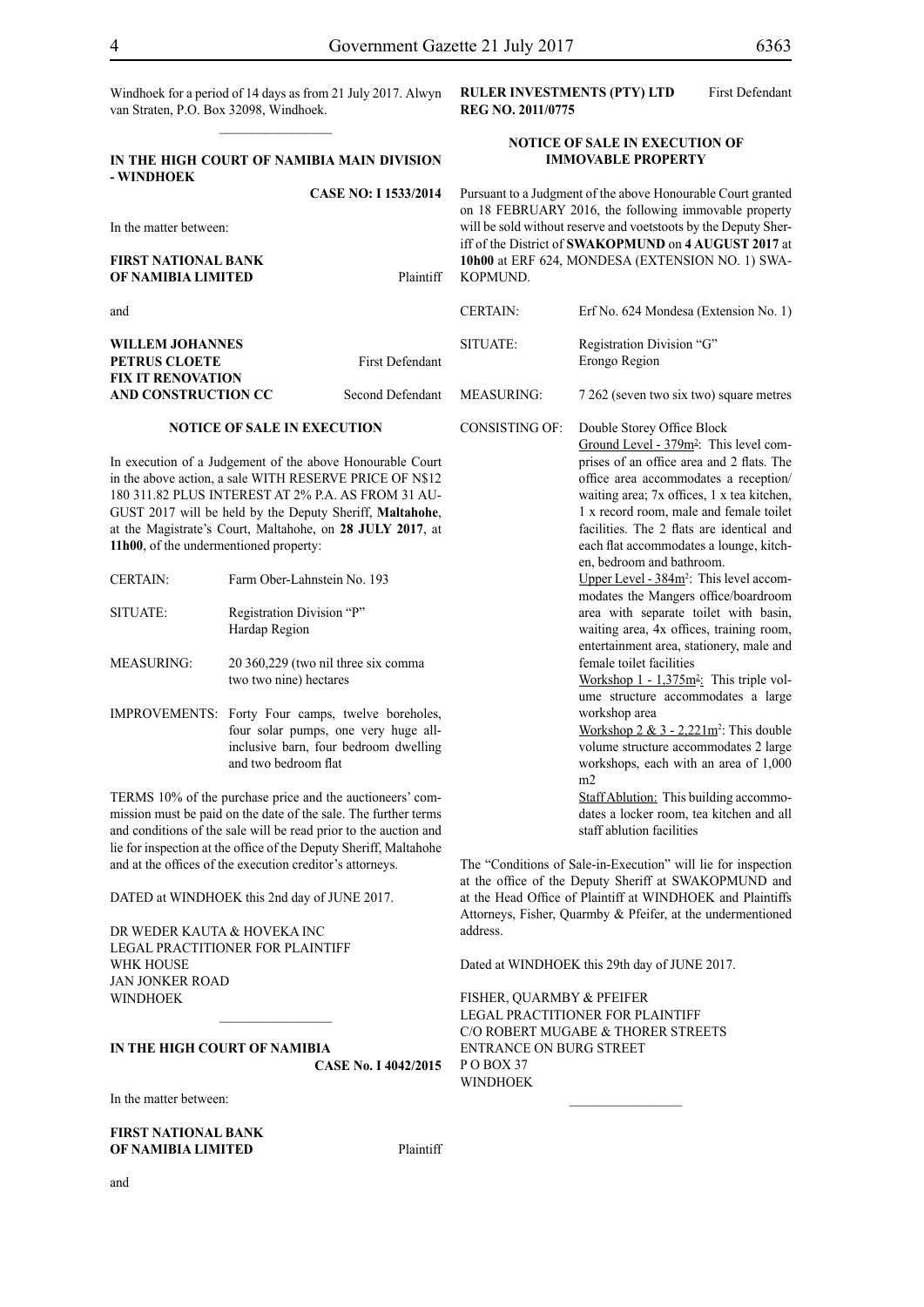Windhoek for a period of 14 days as from 21 July 2017. Alwyn **RULER INVESTMENTS (PTY) LTD** First Defendant van Straten, P.O. Box 32098, Windhoek.  $\frac{1}{2}$ 

#### **IN THE HIGH COURT OF NAMIBIA MAIN DIVISION - WINDHOEK CASE NO: I 1533/2014**

In the matter between:

#### **FIRST NATIONAL BANK OF NAMIBIA LIMITED** Plaintiff

and

**WILLEM JOHANNES PETRUS CLOETE** First **FIX IT RENOVATION AND CONSTRUCTION CC** Second

**NOTICE OF SALE IN EXECUTION**

## **REG NO. 2011/0775**

#### **NOTICE OF SALE IN EXECUTION OF IMMOVABLE PROPERTY**

Pursuant to a Judgment of the above Honourable Court granted on 18 FEBRUARY 2016, the following immovable property will be sold without reserve and voetstoots by the Deputy Sheriff of the District of **SWAKOPMUND** on **4 AUGUST 2017** at **10h00** at ERF 624, MONDESA (EXTENSION NO. 1) SWA-KOPMUND.

> waiting area; 7x offices, 1 x tea kitchen, 1 x record room, male and female toilet facilities. The 2 flats are identical and each flat accommodates a lounge, kitch-

> Upper Level  $-384m^2$ : This level accommodates the Mangers office/boardroom area with separate toilet with basin, waiting area, 4x offices, training room, entertainment area, stationery, male and

> Workshop  $1 - 1,375m^2$ : This triple volume structure accommodates a large

> Workshop  $2 \& 3 - 2{,}221m^2$ : This double volume structure accommodates 2 large workshops, each with an area of 1,000

> Staff Ablution: This building accommodates a locker room, tea kitchen and all

en, bedroom and bathroom.

female toilet facilities

staff ablution facilities

The "Conditions of Sale-in-Execution" will lie for inspection at the office of the Deputy Sheriff at SWAKOPMUND and at the Head Office of Plaintiff at WINDHOEK and Plaintiffs Attorneys, Fisher, Quarmby & Pfeifer, at the undermentioned

 $\frac{1}{2}$ 

Dated at WINDHOEK this 29th day of JUNE 2017.

FISHER, QUARMBY & PFEIFER LEGAL PRACTITIONER FOR PLAINTIFF c/o Robert Mugabe & Thorer Streets

entrance on Burg Street

workshop area

m2

|                          | <b>CERTAIN:</b>       | Erf No. 624 Mondesa (Extension No. 1)                                                                                                                                  |
|--------------------------|-----------------------|------------------------------------------------------------------------------------------------------------------------------------------------------------------------|
| Defendant                | SITUATE:              | Registration Division "G"<br>Erongo Region                                                                                                                             |
| Defendant                | <b>MEASURING:</b>     | 7 262 (seven two six two) square metres                                                                                                                                |
| able Court<br>E OF N\$12 | <b>CONSISTING OF:</b> | Double Storey Office Block<br>Ground Level - 379m <sup>2</sup> : This level com-<br>prises of an office area and 2 flats. The<br>office area accommodates a reception/ |

In execution of a Judgement of the above Honoura in the above action, a sale WITH RESERVE PRICE OF N\$12 180 311.82 PLUS INTEREST AT 2% P.A. AS FROM 31 AU-GUST 2017 will be held by the Deputy Sheriff, **Maltahohe**, at the Magistrate's Court, Maltahohe, on **28 JULY 2017**, at **11h00**, of the undermentioned property:

| <b>CERTAIN:</b>   | Farm Ober-Lahnstein No. 193                                                             |
|-------------------|-----------------------------------------------------------------------------------------|
| SITUATE:          | Registration Division "P"<br>Hardap Region                                              |
| <b>MEASURING:</b> | 20 360,229 (two nil three six comma<br>two two nine) hectares                           |
|                   | IMPROVEMENTS: Forty Four camps, twelve boreholes,<br>four solar numns one very huge all |

four solar pumps, one very huge allinclusive barn, four bedroom dwelling and two bedroom flat

TERMS 10% of the purchase price and the auctioneers' commission must be paid on the date of the sale. The further terms and conditions of the sale will be read prior to the auction and lie for inspection at the office of the Deputy Sheriff, Maltahohe and at the offices of the execution creditor's attorneys.

 $\mathcal{L}_\text{max}$ 

DATED at WINDHOEK this 2nd day of JUNE 2017.

DR WEDER KAUTA & HOVEKA INC Legal Practitioner for Plaintiff WHK HOUSE Jan Jonker Road WINDHOEK

**IN THE HIGH COURT OF NAMIBIA CASE No. I 4042/2015**

In the matter between:

and

**FIRST NATIONAL BANK OF NAMIBIA LIMITED** Plaintiff

address.

PO BOX 37 WINDHOEK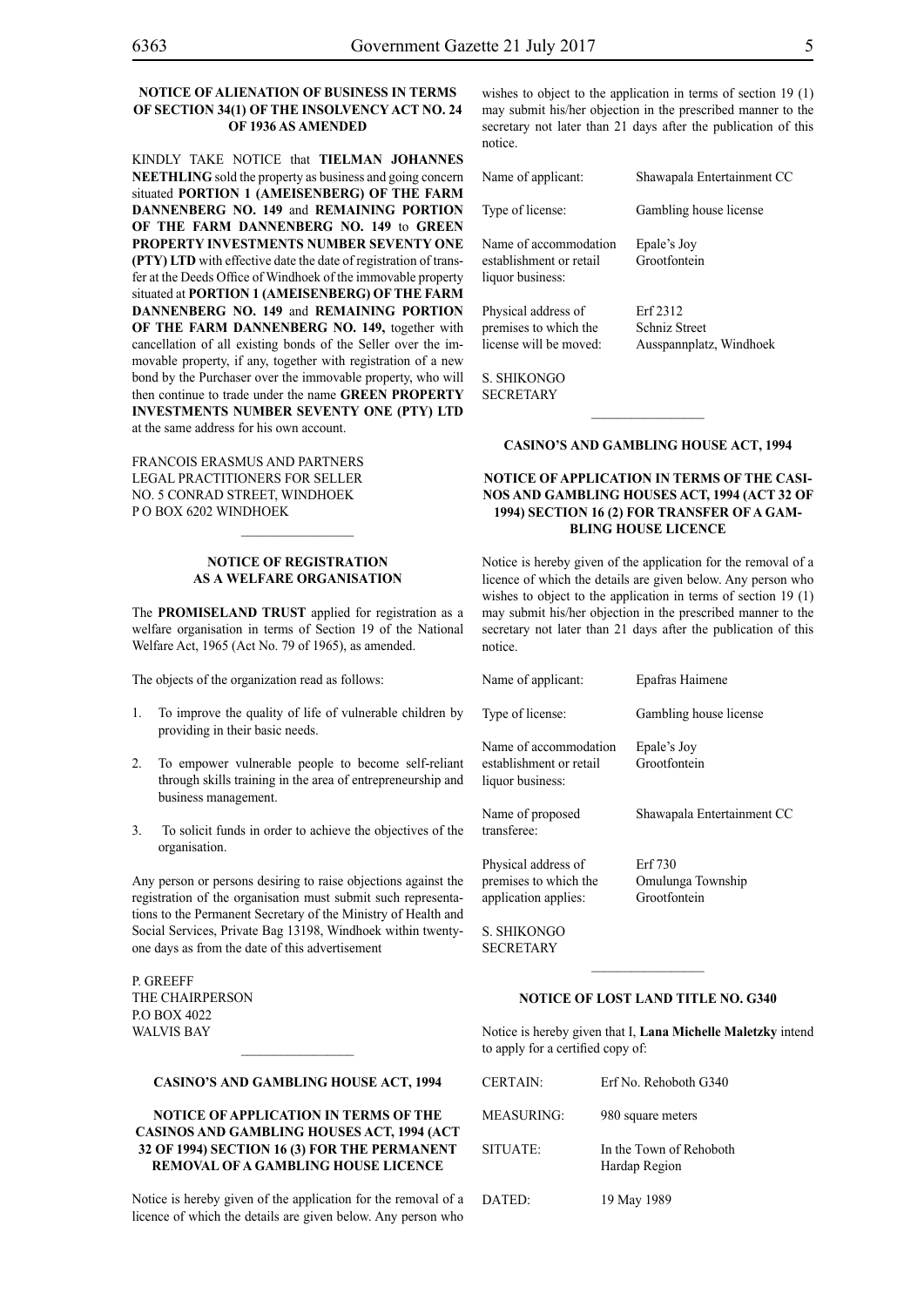#### **NOTICE OF ALIENATION OF BUSINESS IN TERMS OF SECTION 34(1) OF THE INSOLVENCY ACT NO. 24 OF 1936 AS AMENDED**

KINDLY TAKE NOTICE that **TIELMAN JOHANNES NEETHLING** sold the property as business and going concern situated **PORTION 1 (AMEISENBERG) OF THE FARM DANNENBERG NO. 149** and **REMAINING PORTION OF THE FARM DANNENBERG NO. 149** to **GREEN PROPERTY INVESTMENTS NUMBER SEVENTY ONE (PTY) LTD** with effective date the date of registration of transfer at the Deeds Office of Windhoek of the immovable property situated at **PORTION 1 (AMEISENBERG) OF THE FARM DANNENBERG NO. 149** and **REMAINING PORTION OF THE FARM DANNENBERG NO. 149,** together with cancellation of all existing bonds of the Seller over the immovable property, if any, together with registration of a new bond by the Purchaser over the immovable property, who will then continue to trade under the name **GREEN PROPERTY INVESTMENTS NUMBER SEVENTY ONE (PTY) LTD** at the same address for his own account.

FRANCOIS ERASMUS AND PARTNERS LEGAL PRACTITIONERS FOR SELLER NO. 5 CONRAD STREET, WINDHOEK P O BOX 6202 WINDHOEK

#### **NOTICE OF REGISTRATION AS A WELFARE ORGANISATION**

 $\frac{1}{2}$ 

The **Promiseland Trust** applied for registration as a welfare organisation in terms of Section 19 of the National Welfare Act, 1965 (Act No. 79 of 1965), as amended.

The objects of the organization read as follows:

- 1. To improve the quality of life of vulnerable children by providing in their basic needs.
- 2. To empower vulnerable people to become self-reliant through skills training in the area of entrepreneurship and business management.
- 3. To solicit funds in order to achieve the objectives of the organisation.

Any person or persons desiring to raise objections against the registration of the organisation must submit such representations to the Permanent Secretary of the Ministry of Health and Social Services, Private Bag 13198, Windhoek within twentyone days as from the date of this advertisement

P. GREEFF THE CHAIRPERSON P.O Box 4022 WALVIS RAY

#### **CASINO'S AND GAMBLING HOUSE ACT, 1994**

 $\frac{1}{2}$ 

#### **NOTICE OF APPLICATION IN TERMS OF THE CASINOS AND GAMBLING HOUSES ACT, 1994 (ACT 32 OF 1994) SECTION 16 (3) FOR THE PERMANENT REMOVAL OF A GAMBLING HOUSE LICENCE**

Notice is hereby given of the application for the removal of a licence of which the details are given below. Any person who

wishes to object to the application in terms of section 19 (1) may submit his/her objection in the prescribed manner to the secretary not later than 21 days after the publication of this notice.

| Name of applicant:                                                     | Shawapala Entertainment CC                                  |
|------------------------------------------------------------------------|-------------------------------------------------------------|
| Type of license:                                                       | Gambling house license                                      |
| Name of accommodation<br>establishment or retail<br>liquor business:   | Epale's Joy<br>Grootfontein                                 |
| Physical address of<br>premises to which the<br>license will be moved: | Erf 2312<br><b>Schniz Street</b><br>Ausspannplatz, Windhoek |

S. Shikongo **SECRETARY** 

#### **CASINO'S AND GAMBLING HOUSE ACT, 1994**

#### **NOTICE OF APPLICATION IN TERMS OF THE CASI-NOS AND GAMBLING HOUSES ACT, 1994 (ACT 32 OF 1994) SECTION 16 (2) FOR TRANSFER OF A GAM-BLING HOUSE LICENCE**

Notice is hereby given of the application for the removal of a licence of which the details are given below. Any person who wishes to object to the application in terms of section 19 (1) may submit his/her objection in the prescribed manner to the secretary not later than 21 days after the publication of this notice.

| Name of applicant:                                                   | Epafras Haimene                              |
|----------------------------------------------------------------------|----------------------------------------------|
| Type of license:                                                     | Gambling house license                       |
| Name of accommodation<br>establishment or retail<br>liquor business: | Epale's Joy<br>Grootfontein                  |
| Name of proposed<br>transferee:                                      | Shawapala Entertainment CC                   |
| Physical address of<br>premises to which the<br>application applies: | Erf 730<br>Omulunga Township<br>Grootfontein |

S. Shikongo **SECRETARY** 

#### **NOTICE OF LOST LAND TITLE NO. G340**

 $\frac{1}{2}$ 

Notice is hereby given that I, **Lana Michelle Maletzky** intend to apply for a certified copy of:

| <b>CERTAIN:</b> | Erf No. Rehoboth G340                    |
|-----------------|------------------------------------------|
| MEASURING:      | 980 square meters                        |
| SITUATE:        | In the Town of Rehoboth<br>Hardap Region |
| DATED:          | 19 May 1989                              |